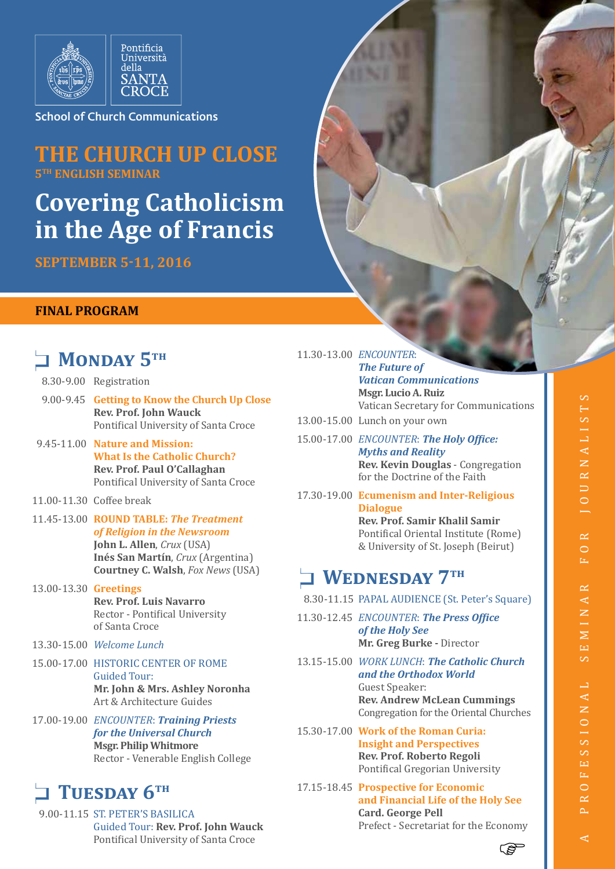

School of Church Communications

### **THE CHURCH UP CLOSE 5<sup>TH</sup> ENGLISH SEMINA**

# **Covering Catholicism in the Age of Francis**

**SEPTEMBER 5-11, 2016**

#### **FINAL PROGRAM**

# **NONDAY 5TH**

- 8.30-9.00 Registration
- 9.00-9.45 **Getting to Know the Church Up Close Rev. Prof. John Wauck** Pontifical University of Santa Croce
- 9.45-11.00 **Nature and Mission: What Is the Catholic Church? Rev. Prof. Paul O'Callaghan** Pontifical University of Santa Croce
- 11.00-11.30 Coffee break
- 11.45-13.00 **ROUND TABLE:** *The Treatment of Religion in the Newsroom* **John L. Allen**, *Crux* (USA) **Inés San Martín**, *Crux* (Argentina) **Courtney C. Walsh**, *Fox News* (USA)
- 13.00-13.30 **Greetings Rev. Prof. Luis Navarro** Rector - Pontifical University of Santa Croce
- 13.30-15.00 *Welcome Lunch*
- 15.00-17.00 HISTORIC CENTER OF ROME Guided Tour: **Mr. John & Mrs. Ashley Noronha** Art & Architecture Guides
- 17.00-19.00 *ENCOUNTER*: *Training Priests for the Universal Church* **Msgr. Philip Whitmore** Rector - Venerable English College

### TUESDAY 6TH

 9.00-11.15 ST. PETER'S BASILICA Guided Tour: **Rev. Prof. John Wauck** Pontifical University of Santa Croce

11.30-13.00 *ENCOUNTER*: *The Future of Vatican Communications* **Msgr. Lucio A. Ruiz** Vatican Secretary for Communications 13.00-15.00 Lunch on your own 15.00-17.00 *ENCOUNTER*: *The Holy Office: Myths and Reality* **Rev. Kevin Douglas** - Congregation

for the Doctrine of the Faith 17.30-19.00 **Ecumenism and Inter-Religious Dialogue Rev. Prof. Samir Khalil Samir**  Pontifical Oriental Institute (Rome) & University of St. Joseph (Beirut)

### **NEDNESDAY 7TH**

- 8.30-11.15 PAPAL AUDIENCE (St. Peter's Square)
- 11.30-12.45 *ENCOUNTER*: *The Press Office of the Holy See* **Mr. Greg Burke -** Director
- 13.15-15.00 *WORK LUNCH*: *The Catholic Church and the Orthodox World* Guest Speaker: **Rev. Andrew McLean Cummings** Congregation for the Oriental Churches
- 15.30-17.00 **Work of the Roman Curia: Insight and Perspectives Rev. Prof. Roberto Regoli** Pontifical Gregorian University
- 17.15-18.45 **Prospective for Economic and Financial Life of the Holy See Card. George Pell** Prefect - Secretariat for the Economy